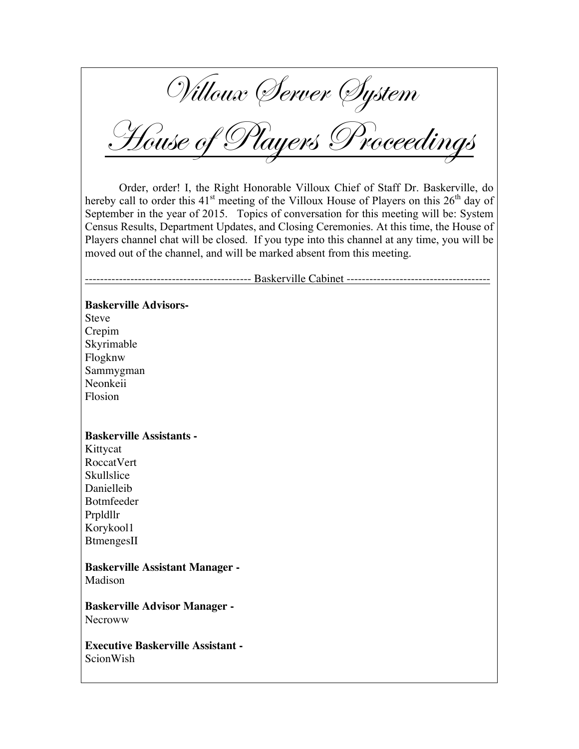Villoux Server System

House of Players Proceedings

Order, order! I, the Right Honorable Villoux Chief of Staff Dr. Baskerville, do hereby call to order this  $41<sup>st</sup>$  meeting of the Villoux House of Players on this  $26<sup>th</sup>$  day of September in the year of 2015. Topics of conversation for this meeting will be: System Census Results, Department Updates, and Closing Ceremonies. At this time, the House of Players channel chat will be closed. If you type into this channel at any time, you will be moved out of the channel, and will be marked absent from this meeting.

-------------------------------------------- Baskerville Cabinet --------------------------------------

#### **Baskerville Advisors-**

Steve Crepim Skyrimable Flogknw Sammygman Neonkeii Flosion

#### **Baskerville Assistants -**

Kittycat RoccatVert **Skullslice** Danielleib Botmfeeder Prpldllr Korykool1 BtmengesII

#### **Baskerville Assistant Manager -** Madison

**Baskerville Advisor Manager - Necroww** 

**Executive Baskerville Assistant -** ScionWish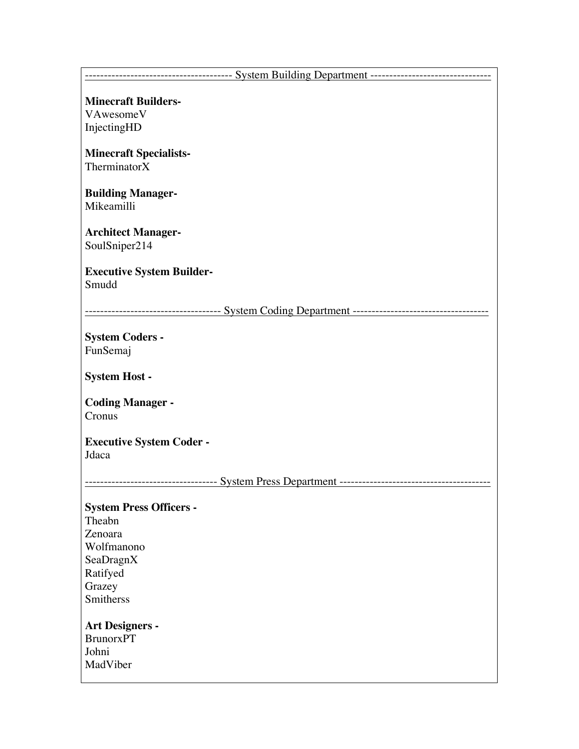#### --------------------------------------- System Building Department --------------------------------

#### **Minecraft Builders-**

VAwesomeV InjectingHD

#### **Minecraft Specialists-**TherminatorX

#### **Building Manager-**Mikeamilli

#### **Architect Manager-**SoulSniper214

#### **Executive System Builder-**Smudd

#### ------------------------------------ System Coding Department ------------------------------------

#### **System Coders -** FunSemaj

#### **System Host -**

#### **Coding Manager -** Cronus

#### **Executive System Coder -** Jdaca

----------------------------------- System Press Department ----------------------------------------

#### **System Press Officers -**

Theabn Zenoara Wolfmanono SeaDragnX Ratifyed Grazey Smitherss

#### **Art Designers -**

BrunorxPT Johni MadViber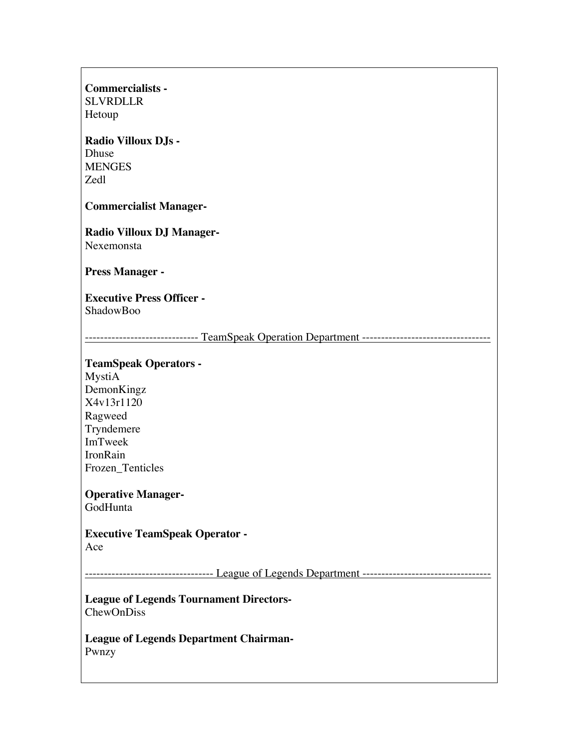| Commercialists - |  |
|------------------|--|
| <b>SLVRDLLR</b>  |  |
| Hetoup           |  |

### **Radio Villoux DJs -**

Dhuse **MENGES** Zedl

#### **Commercialist Manager-**

**Radio Villoux DJ Manager-**Nexemonsta

#### **Press Manager -**

**Executive Press Officer -** ShadowBoo

---------------------------- TeamSpeak Operation Department --------------------

#### **TeamSpeak Operators -**

MystiA DemonKingz X4v13r1120 Ragweed Tryndemere ImTweek IronRain Frozen\_Tenticles

#### **Operative Manager-**GodHunta

**Executive TeamSpeak Operator -**

Ace

---------------------------------- League of Legends Department ----------------------------------

#### **League of Legends Tournament Directors-**ChewOnDiss

**League of Legends Department Chairman-**Pwnzy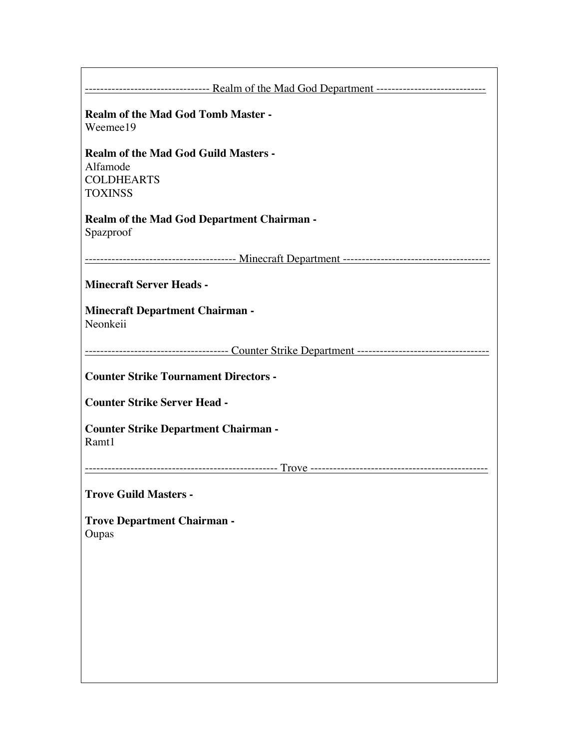| <u>----------------------------------- Realm of the Mad God Department ------------------------------</u> |
|-----------------------------------------------------------------------------------------------------------|
|                                                                                                           |
| <b>Realm of the Mad God Tomb Master -</b>                                                                 |
| Weemee19                                                                                                  |
| <b>Realm of the Mad God Guild Masters -</b>                                                               |
| Alfamode                                                                                                  |
| <b>COLDHEARTS</b>                                                                                         |
| <b>TOXINSS</b>                                                                                            |
|                                                                                                           |
| <b>Realm of the Mad God Department Chairman -</b>                                                         |
| Spazproof                                                                                                 |
|                                                                                                           |
|                                                                                                           |
| <b>Minecraft Server Heads -</b>                                                                           |
| <b>Minecraft Department Chairman -</b>                                                                    |
| Neonkeii                                                                                                  |
|                                                                                                           |
|                                                                                                           |
|                                                                                                           |
| <b>Counter Strike Tournament Directors -</b>                                                              |
| <b>Counter Strike Server Head -</b>                                                                       |
|                                                                                                           |
| <b>Counter Strike Department Chairman -</b>                                                               |
| Ramt1                                                                                                     |
|                                                                                                           |
|                                                                                                           |
| <b>Trove Guild Masters -</b>                                                                              |
|                                                                                                           |
| <b>Trove Department Chairman -</b>                                                                        |
| Oupas                                                                                                     |
|                                                                                                           |
|                                                                                                           |
|                                                                                                           |
|                                                                                                           |
|                                                                                                           |
|                                                                                                           |
|                                                                                                           |
|                                                                                                           |
|                                                                                                           |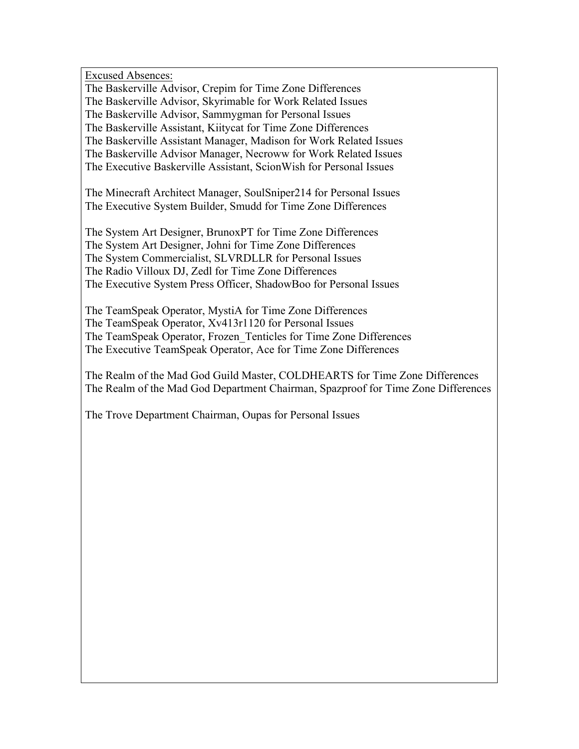Excused Absences:

The Baskerville Advisor, Crepim for Time Zone Differences The Baskerville Advisor, Skyrimable for Work Related Issues The Baskerville Advisor, Sammygman for Personal Issues The Baskerville Assistant, Kiitycat for Time Zone Differences The Baskerville Assistant Manager, Madison for Work Related Issues The Baskerville Advisor Manager, Necroww for Work Related Issues The Executive Baskerville Assistant, ScionWish for Personal Issues

The Minecraft Architect Manager, SoulSniper214 for Personal Issues The Executive System Builder, Smudd for Time Zone Differences

The System Art Designer, BrunoxPT for Time Zone Differences The System Art Designer, Johni for Time Zone Differences The System Commercialist, SLVRDLLR for Personal Issues The Radio Villoux DJ, Zedl for Time Zone Differences The Executive System Press Officer, ShadowBoo for Personal Issues

The TeamSpeak Operator, MystiA for Time Zone Differences The TeamSpeak Operator, Xv413r1120 for Personal Issues The TeamSpeak Operator, Frozen\_Tenticles for Time Zone Differences The Executive TeamSpeak Operator, Ace for Time Zone Differences

The Realm of the Mad God Guild Master, COLDHEARTS for Time Zone Differences The Realm of the Mad God Department Chairman, Spazproof for Time Zone Differences

The Trove Department Chairman, Oupas for Personal Issues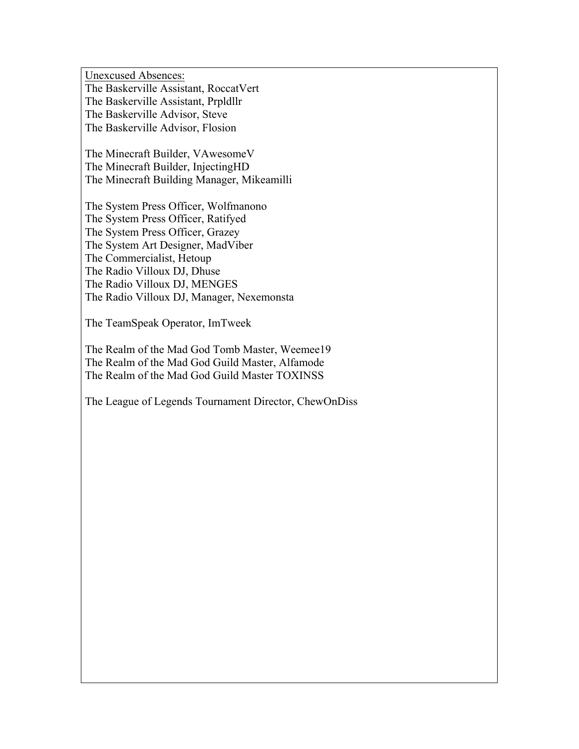Unexcused Absences: The Baskerville Assistant, RoccatVert The Baskerville Assistant, Prpldllr The Baskerville Advisor, Steve The Baskerville Advisor, Flosion

The Minecraft Builder, VAwesomeV The Minecraft Builder, InjectingHD The Minecraft Building Manager, Mikeamilli

The System Press Officer, Wolfmanono The System Press Officer, Ratifyed The System Press Officer, Grazey The System Art Designer, MadViber The Commercialist, Hetoup The Radio Villoux DJ, Dhuse The Radio Villoux DJ, MENGES The Radio Villoux DJ, Manager, Nexemonsta

The TeamSpeak Operator, ImTweek

The Realm of the Mad God Tomb Master, Weemee19 The Realm of the Mad God Guild Master, Alfamode The Realm of the Mad God Guild Master TOXINSS

The League of Legends Tournament Director, ChewOnDiss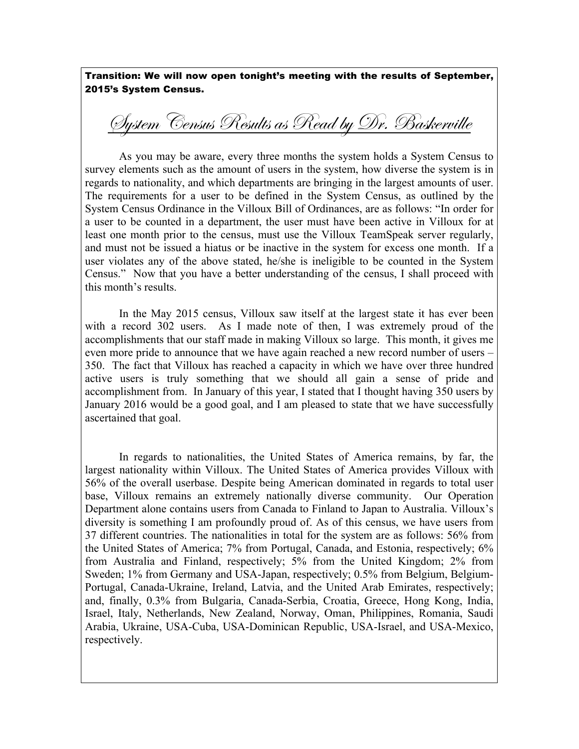Transition: We will now open tonight's meeting with the results of September, 2015's System Census.

System Census Results as Read by Dr. Baskerville

As you may be aware, every three months the system holds a System Census to survey elements such as the amount of users in the system, how diverse the system is in regards to nationality, and which departments are bringing in the largest amounts of user. The requirements for a user to be defined in the System Census, as outlined by the System Census Ordinance in the Villoux Bill of Ordinances, are as follows: "In order for a user to be counted in a department, the user must have been active in Villoux for at least one month prior to the census, must use the Villoux TeamSpeak server regularly, and must not be issued a hiatus or be inactive in the system for excess one month. If a user violates any of the above stated, he/she is ineligible to be counted in the System Census." Now that you have a better understanding of the census, I shall proceed with this month's results.

In the May 2015 census, Villoux saw itself at the largest state it has ever been with a record 302 users. As I made note of then, I was extremely proud of the accomplishments that our staff made in making Villoux so large. This month, it gives me even more pride to announce that we have again reached a new record number of users – 350. The fact that Villoux has reached a capacity in which we have over three hundred active users is truly something that we should all gain a sense of pride and accomplishment from. In January of this year, I stated that I thought having 350 users by January 2016 would be a good goal, and I am pleased to state that we have successfully ascertained that goal.

In regards to nationalities, the United States of America remains, by far, the largest nationality within Villoux. The United States of America provides Villoux with 56% of the overall userbase. Despite being American dominated in regards to total user base, Villoux remains an extremely nationally diverse community. Our Operation Department alone contains users from Canada to Finland to Japan to Australia. Villoux's diversity is something I am profoundly proud of. As of this census, we have users from 37 different countries. The nationalities in total for the system are as follows: 56% from the United States of America; 7% from Portugal, Canada, and Estonia, respectively; 6% from Australia and Finland, respectively; 5% from the United Kingdom; 2% from Sweden; 1% from Germany and USA-Japan, respectively; 0.5% from Belgium, Belgium-Portugal, Canada-Ukraine, Ireland, Latvia, and the United Arab Emirates, respectively; and, finally, 0.3% from Bulgaria, Canada-Serbia, Croatia, Greece, Hong Kong, India, Israel, Italy, Netherlands, New Zealand, Norway, Oman, Philippines, Romania, Saudi Arabia, Ukraine, USA-Cuba, USA-Dominican Republic, USA-Israel, and USA-Mexico, respectively.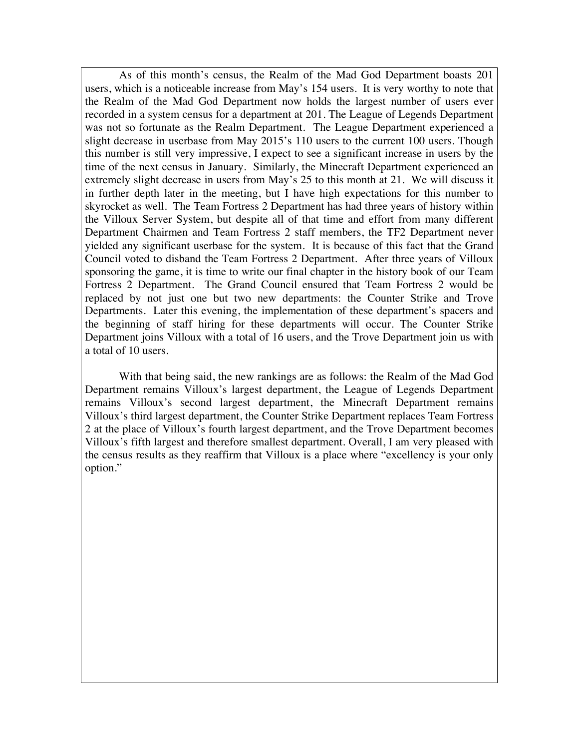As of this month's census, the Realm of the Mad God Department boasts 201 users, which is a noticeable increase from May's 154 users. It is very worthy to note that the Realm of the Mad God Department now holds the largest number of users ever recorded in a system census for a department at 201. The League of Legends Department was not so fortunate as the Realm Department. The League Department experienced a slight decrease in userbase from May 2015's 110 users to the current 100 users. Though this number is still very impressive, I expect to see a significant increase in users by the time of the next census in January. Similarly, the Minecraft Department experienced an extremely slight decrease in users from May's 25 to this month at 21. We will discuss it in further depth later in the meeting, but I have high expectations for this number to skyrocket as well. The Team Fortress 2 Department has had three years of history within the Villoux Server System, but despite all of that time and effort from many different Department Chairmen and Team Fortress 2 staff members, the TF2 Department never yielded any significant userbase for the system. It is because of this fact that the Grand Council voted to disband the Team Fortress 2 Department. After three years of Villoux sponsoring the game, it is time to write our final chapter in the history book of our Team Fortress 2 Department. The Grand Council ensured that Team Fortress 2 would be replaced by not just one but two new departments: the Counter Strike and Trove Departments. Later this evening, the implementation of these department's spacers and the beginning of staff hiring for these departments will occur. The Counter Strike Department joins Villoux with a total of 16 users, and the Trove Department join us with a total of 10 users.

With that being said, the new rankings are as follows: the Realm of the Mad God Department remains Villoux's largest department, the League of Legends Department remains Villoux's second largest department, the Minecraft Department remains Villoux's third largest department, the Counter Strike Department replaces Team Fortress 2 at the place of Villoux's fourth largest department, and the Trove Department becomes Villoux's fifth largest and therefore smallest department. Overall, I am very pleased with the census results as they reaffirm that Villoux is a place where "excellency is your only option."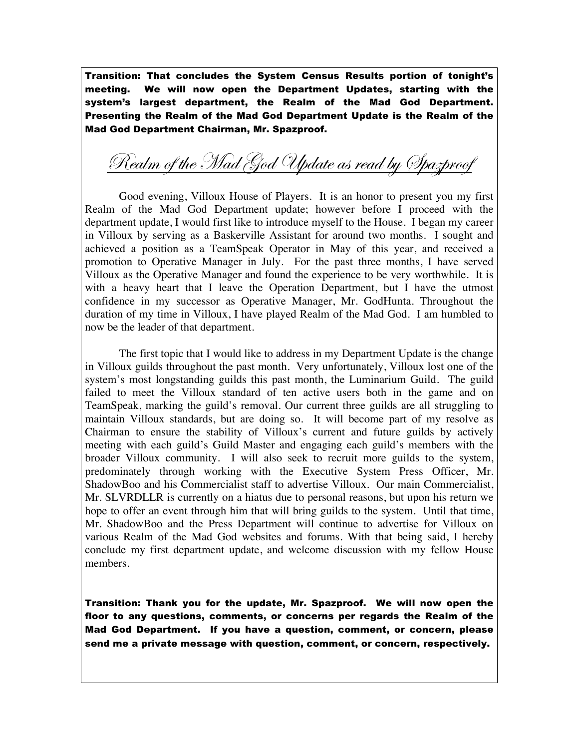Transition: That concludes the System Census Results portion of tonight's meeting. We will now open the Department Updates, starting with the system's largest department, the Realm of the Mad God Department. Presenting the Realm of the Mad God Department Update is the Realm of the Mad God Department Chairman, Mr. Spazproof.

Realm of the Mad God Update as read by Spazproof

Good evening, Villoux House of Players. It is an honor to present you my first Realm of the Mad God Department update; however before I proceed with the department update, I would first like to introduce myself to the House. I began my career in Villoux by serving as a Baskerville Assistant for around two months. I sought and achieved a position as a TeamSpeak Operator in May of this year, and received a promotion to Operative Manager in July. For the past three months, I have served Villoux as the Operative Manager and found the experience to be very worthwhile. It is with a heavy heart that I leave the Operation Department, but I have the utmost confidence in my successor as Operative Manager, Mr. GodHunta. Throughout the duration of my time in Villoux, I have played Realm of the Mad God. I am humbled to now be the leader of that department.

The first topic that I would like to address in my Department Update is the change in Villoux guilds throughout the past month. Very unfortunately, Villoux lost one of the system's most longstanding guilds this past month, the Luminarium Guild. The guild failed to meet the Villoux standard of ten active users both in the game and on TeamSpeak, marking the guild's removal. Our current three guilds are all struggling to maintain Villoux standards, but are doing so. It will become part of my resolve as Chairman to ensure the stability of Villoux's current and future guilds by actively meeting with each guild's Guild Master and engaging each guild's members with the broader Villoux community. I will also seek to recruit more guilds to the system, predominately through working with the Executive System Press Officer, Mr. ShadowBoo and his Commercialist staff to advertise Villoux. Our main Commercialist, Mr. SLVRDLLR is currently on a hiatus due to personal reasons, but upon his return we hope to offer an event through him that will bring guilds to the system. Until that time, Mr. ShadowBoo and the Press Department will continue to advertise for Villoux on various Realm of the Mad God websites and forums. With that being said, I hereby conclude my first department update, and welcome discussion with my fellow House members.

Transition: Thank you for the update, Mr. Spazproof. We will now open the floor to any questions, comments, or concerns per regards the Realm of the Mad God Department. If you have a question, comment, or concern, please send me a private message with question, comment, or concern, respectively.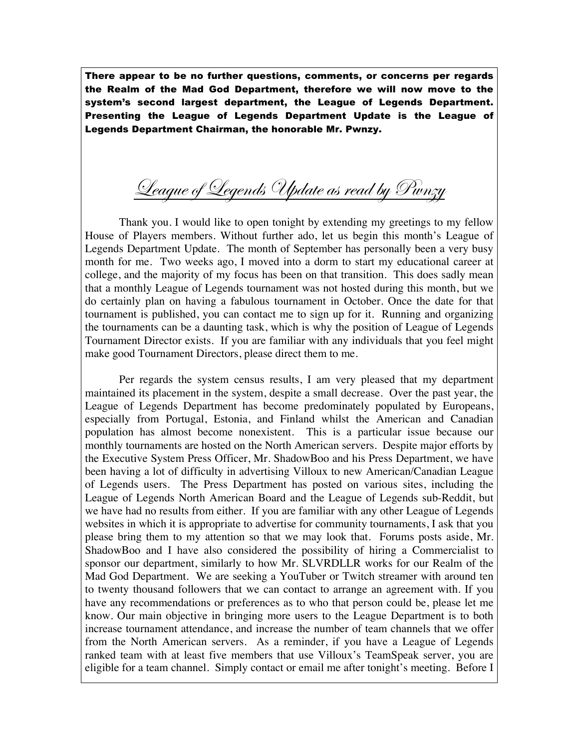There appear to be no further questions, comments, or concerns per regards the Realm of the Mad God Department, therefore we will now move to the system's second largest department, the League of Legends Department. Presenting the League of Legends Department Update is the League of Legends Department Chairman, the honorable Mr. Pwnzy.

League of Legends Update as read by Pwnzy

Thank you. I would like to open tonight by extending my greetings to my fellow House of Players members. Without further ado, let us begin this month's League of Legends Department Update. The month of September has personally been a very busy month for me. Two weeks ago, I moved into a dorm to start my educational career at college, and the majority of my focus has been on that transition. This does sadly mean that a monthly League of Legends tournament was not hosted during this month, but we do certainly plan on having a fabulous tournament in October. Once the date for that tournament is published, you can contact me to sign up for it. Running and organizing the tournaments can be a daunting task, which is why the position of League of Legends Tournament Director exists. If you are familiar with any individuals that you feel might make good Tournament Directors, please direct them to me.

Per regards the system census results, I am very pleased that my department maintained its placement in the system, despite a small decrease. Over the past year, the League of Legends Department has become predominately populated by Europeans, especially from Portugal, Estonia, and Finland whilst the American and Canadian population has almost become nonexistent. This is a particular issue because our monthly tournaments are hosted on the North American servers. Despite major efforts by the Executive System Press Officer, Mr. ShadowBoo and his Press Department, we have been having a lot of difficulty in advertising Villoux to new American/Canadian League of Legends users. The Press Department has posted on various sites, including the League of Legends North American Board and the League of Legends sub-Reddit, but we have had no results from either. If you are familiar with any other League of Legends websites in which it is appropriate to advertise for community tournaments, I ask that you please bring them to my attention so that we may look that. Forums posts aside, Mr. ShadowBoo and I have also considered the possibility of hiring a Commercialist to sponsor our department, similarly to how Mr. SLVRDLLR works for our Realm of the Mad God Department. We are seeking a YouTuber or Twitch streamer with around ten to twenty thousand followers that we can contact to arrange an agreement with. If you have any recommendations or preferences as to who that person could be, please let me know. Our main objective in bringing more users to the League Department is to both increase tournament attendance, and increase the number of team channels that we offer from the North American servers. As a reminder, if you have a League of Legends ranked team with at least five members that use Villoux's TeamSpeak server, you are eligible for a team channel. Simply contact or email me after tonight's meeting. Before I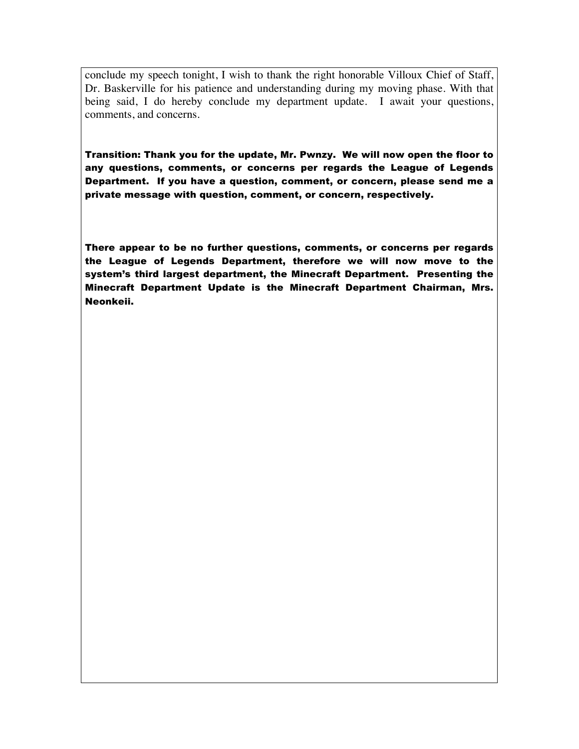conclude my speech tonight, I wish to thank the right honorable Villoux Chief of Staff, Dr. Baskerville for his patience and understanding during my moving phase. With that being said, I do hereby conclude my department update. I await your questions, comments, and concerns.

Transition: Thank you for the update, Mr. Pwnzy. We will now open the floor to any questions, comments, or concerns per regards the League of Legends Department. If you have a question, comment, or concern, please send me a private message with question, comment, or concern, respectively.

There appear to be no further questions, comments, or concerns per regards the League of Legends Department, therefore we will now move to the system's third largest department, the Minecraft Department. Presenting the Minecraft Department Update is the Minecraft Department Chairman, Mrs. Neonkeii.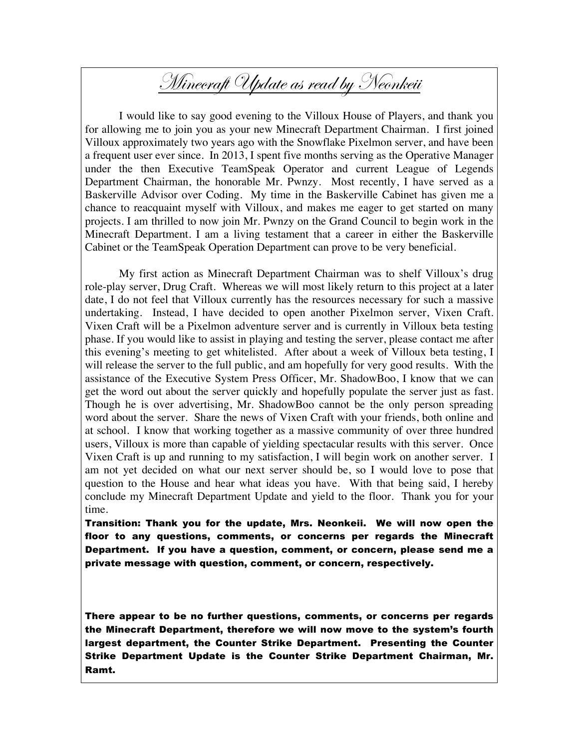# Minecraft Update as read by Neonkeii

I would like to say good evening to the Villoux House of Players, and thank you for allowing me to join you as your new Minecraft Department Chairman. I first joined Villoux approximately two years ago with the Snowflake Pixelmon server, and have been a frequent user ever since. In 2013, I spent five months serving as the Operative Manager under the then Executive TeamSpeak Operator and current League of Legends Department Chairman, the honorable Mr. Pwnzy. Most recently, I have served as a Baskerville Advisor over Coding. My time in the Baskerville Cabinet has given me a chance to reacquaint myself with Villoux, and makes me eager to get started on many projects. I am thrilled to now join Mr. Pwnzy on the Grand Council to begin work in the Minecraft Department. I am a living testament that a career in either the Baskerville Cabinet or the TeamSpeak Operation Department can prove to be very beneficial.

My first action as Minecraft Department Chairman was to shelf Villoux's drug role-play server, Drug Craft. Whereas we will most likely return to this project at a later date, I do not feel that Villoux currently has the resources necessary for such a massive undertaking. Instead, I have decided to open another Pixelmon server, Vixen Craft. Vixen Craft will be a Pixelmon adventure server and is currently in Villoux beta testing phase. If you would like to assist in playing and testing the server, please contact me after this evening's meeting to get whitelisted. After about a week of Villoux beta testing, I will release the server to the full public, and am hopefully for very good results. With the assistance of the Executive System Press Officer, Mr. ShadowBoo, I know that we can get the word out about the server quickly and hopefully populate the server just as fast. Though he is over advertising, Mr. ShadowBoo cannot be the only person spreading word about the server. Share the news of Vixen Craft with your friends, both online and at school. I know that working together as a massive community of over three hundred users, Villoux is more than capable of yielding spectacular results with this server. Once Vixen Craft is up and running to my satisfaction, I will begin work on another server. I am not yet decided on what our next server should be, so I would love to pose that question to the House and hear what ideas you have. With that being said, I hereby conclude my Minecraft Department Update and yield to the floor. Thank you for your time.

Transition: Thank you for the update, Mrs. Neonkeii. We will now open the floor to any questions, comments, or concerns per regards the Minecraft Department. If you have a question, comment, or concern, please send me a private message with question, comment, or concern, respectively.

There appear to be no further questions, comments, or concerns per regards the Minecraft Department, therefore we will now move to the system's fourth largest department, the Counter Strike Department. Presenting the Counter Strike Department Update is the Counter Strike Department Chairman, Mr. Ramt.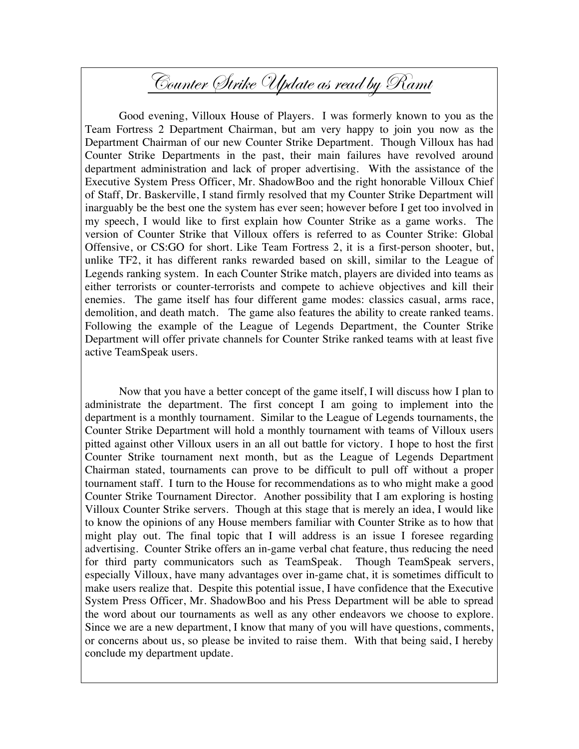### Counter Strike Update as read by Ramt

Good evening, Villoux House of Players. I was formerly known to you as the Team Fortress 2 Department Chairman, but am very happy to join you now as the Department Chairman of our new Counter Strike Department. Though Villoux has had Counter Strike Departments in the past, their main failures have revolved around department administration and lack of proper advertising. With the assistance of the Executive System Press Officer, Mr. ShadowBoo and the right honorable Villoux Chief of Staff, Dr. Baskerville, I stand firmly resolved that my Counter Strike Department will inarguably be the best one the system has ever seen; however before I get too involved in my speech, I would like to first explain how Counter Strike as a game works. The version of Counter Strike that Villoux offers is referred to as Counter Strike: Global Offensive, or CS:GO for short. Like Team Fortress 2, it is a first-person shooter, but, unlike TF2, it has different ranks rewarded based on skill, similar to the League of Legends ranking system. In each Counter Strike match, players are divided into teams as either terrorists or counter-terrorists and compete to achieve objectives and kill their enemies. The game itself has four different game modes: classics casual, arms race, demolition, and death match. The game also features the ability to create ranked teams. Following the example of the League of Legends Department, the Counter Strike Department will offer private channels for Counter Strike ranked teams with at least five active TeamSpeak users.

Now that you have a better concept of the game itself, I will discuss how I plan to administrate the department. The first concept I am going to implement into the department is a monthly tournament. Similar to the League of Legends tournaments, the Counter Strike Department will hold a monthly tournament with teams of Villoux users pitted against other Villoux users in an all out battle for victory. I hope to host the first Counter Strike tournament next month, but as the League of Legends Department Chairman stated, tournaments can prove to be difficult to pull off without a proper tournament staff. I turn to the House for recommendations as to who might make a good Counter Strike Tournament Director. Another possibility that I am exploring is hosting Villoux Counter Strike servers. Though at this stage that is merely an idea, I would like to know the opinions of any House members familiar with Counter Strike as to how that might play out. The final topic that I will address is an issue I foresee regarding advertising. Counter Strike offers an in-game verbal chat feature, thus reducing the need for third party communicators such as TeamSpeak. Though TeamSpeak servers, especially Villoux, have many advantages over in-game chat, it is sometimes difficult to make users realize that. Despite this potential issue, I have confidence that the Executive System Press Officer, Mr. ShadowBoo and his Press Department will be able to spread the word about our tournaments as well as any other endeavors we choose to explore. Since we are a new department, I know that many of you will have questions, comments, or concerns about us, so please be invited to raise them. With that being said, I hereby conclude my department update.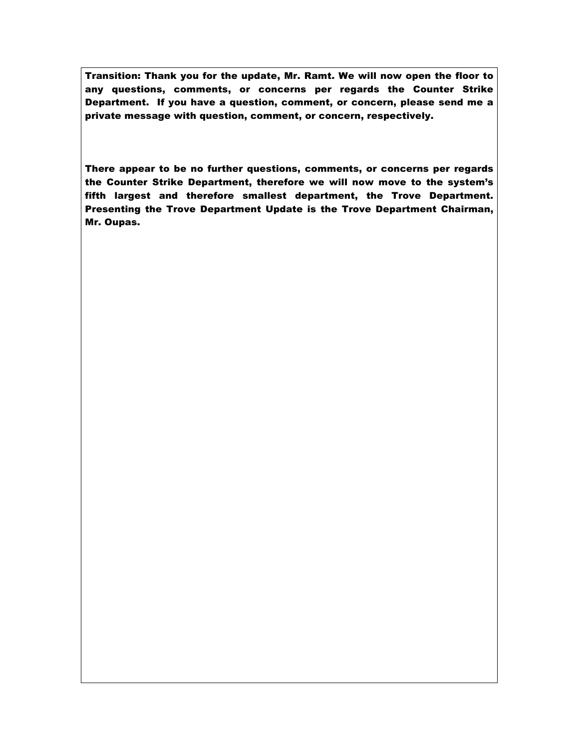Transition: Thank you for the update, Mr. Ramt. We will now open the floor to any questions, comments, or concerns per regards the Counter Strike Department. If you have a question, comment, or concern, please send me a private message with question, comment, or concern, respectively.

There appear to be no further questions, comments, or concerns per regards the Counter Strike Department, therefore we will now move to the system's fifth largest and therefore smallest department, the Trove Department. Presenting the Trove Department Update is the Trove Department Chairman, Mr. Oupas.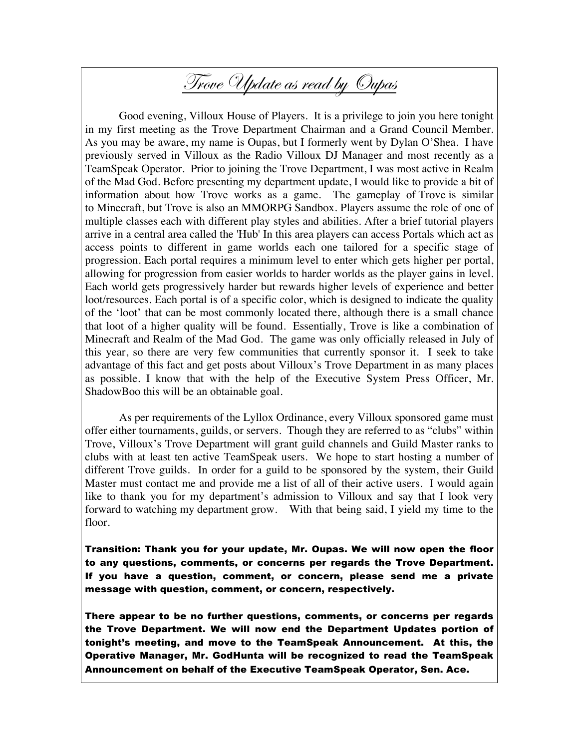## Trove Update as read by Oupas

Good evening, Villoux House of Players. It is a privilege to join you here tonight in my first meeting as the Trove Department Chairman and a Grand Council Member. As you may be aware, my name is Oupas, but I formerly went by Dylan O'Shea. I have previously served in Villoux as the Radio Villoux DJ Manager and most recently as a TeamSpeak Operator. Prior to joining the Trove Department, I was most active in Realm of the Mad God. Before presenting my department update, I would like to provide a bit of information about how Trove works as a game. The gameplay of Trove is similar to Minecraft, but Trove is also an MMORPG Sandbox. Players assume the role of one of multiple classes each with different play styles and abilities. After a brief tutorial players arrive in a central area called the 'Hub' In this area players can access Portals which act as access points to different in game worlds each one tailored for a specific stage of progression. Each portal requires a minimum level to enter which gets higher per portal, allowing for progression from easier worlds to harder worlds as the player gains in level. Each world gets progressively harder but rewards higher levels of experience and better loot/resources. Each portal is of a specific color, which is designed to indicate the quality of the 'loot' that can be most commonly located there, although there is a small chance that loot of a higher quality will be found. Essentially, Trove is like a combination of Minecraft and Realm of the Mad God. The game was only officially released in July of this year, so there are very few communities that currently sponsor it. I seek to take advantage of this fact and get posts about Villoux's Trove Department in as many places as possible. I know that with the help of the Executive System Press Officer, Mr. ShadowBoo this will be an obtainable goal.

As per requirements of the Lyllox Ordinance, every Villoux sponsored game must offer either tournaments, guilds, or servers. Though they are referred to as "clubs" within Trove, Villoux's Trove Department will grant guild channels and Guild Master ranks to clubs with at least ten active TeamSpeak users. We hope to start hosting a number of different Trove guilds. In order for a guild to be sponsored by the system, their Guild Master must contact me and provide me a list of all of their active users. I would again like to thank you for my department's admission to Villoux and say that I look very forward to watching my department grow. With that being said, I yield my time to the floor.

Transition: Thank you for your update, Mr. Oupas. We will now open the floor to any questions, comments, or concerns per regards the Trove Department. If you have a question, comment, or concern, please send me a private message with question, comment, or concern, respectively.

There appear to be no further questions, comments, or concerns per regards the Trove Department. We will now end the Department Updates portion of tonight's meeting, and move to the TeamSpeak Announcement. At this, the Operative Manager, Mr. GodHunta will be recognized to read the TeamSpeak Announcement on behalf of the Executive TeamSpeak Operator, Sen. Ace.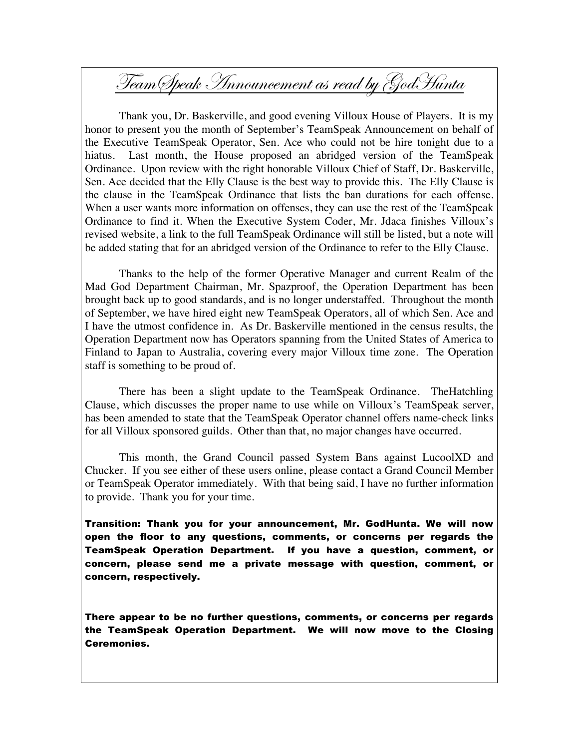# TeamSpeak Announcement as read by GodHunta

Thank you, Dr. Baskerville, and good evening Villoux House of Players. It is my honor to present you the month of September's TeamSpeak Announcement on behalf of the Executive TeamSpeak Operator, Sen. Ace who could not be hire tonight due to a hiatus. Last month, the House proposed an abridged version of the TeamSpeak Ordinance. Upon review with the right honorable Villoux Chief of Staff, Dr. Baskerville, Sen. Ace decided that the Elly Clause is the best way to provide this. The Elly Clause is the clause in the TeamSpeak Ordinance that lists the ban durations for each offense. When a user wants more information on offenses, they can use the rest of the TeamSpeak Ordinance to find it. When the Executive System Coder, Mr. Jdaca finishes Villoux's revised website, a link to the full TeamSpeak Ordinance will still be listed, but a note will be added stating that for an abridged version of the Ordinance to refer to the Elly Clause.

Thanks to the help of the former Operative Manager and current Realm of the Mad God Department Chairman, Mr. Spazproof, the Operation Department has been brought back up to good standards, and is no longer understaffed. Throughout the month of September, we have hired eight new TeamSpeak Operators, all of which Sen. Ace and I have the utmost confidence in. As Dr. Baskerville mentioned in the census results, the Operation Department now has Operators spanning from the United States of America to Finland to Japan to Australia, covering every major Villoux time zone. The Operation staff is something to be proud of.

There has been a slight update to the TeamSpeak Ordinance. TheHatchling Clause, which discusses the proper name to use while on Villoux's TeamSpeak server, has been amended to state that the TeamSpeak Operator channel offers name-check links for all Villoux sponsored guilds. Other than that, no major changes have occurred.

This month, the Grand Council passed System Bans against LucoolXD and Chucker. If you see either of these users online, please contact a Grand Council Member or TeamSpeak Operator immediately. With that being said, I have no further information to provide. Thank you for your time.

Transition: Thank you for your announcement, Mr. GodHunta. We will now open the floor to any questions, comments, or concerns per regards the TeamSpeak Operation Department. If you have a question, comment, or concern, please send me a private message with question, comment, or concern, respectively.

There appear to be no further questions, comments, or concerns per regards the TeamSpeak Operation Department. We will now move to the Closing Ceremonies.